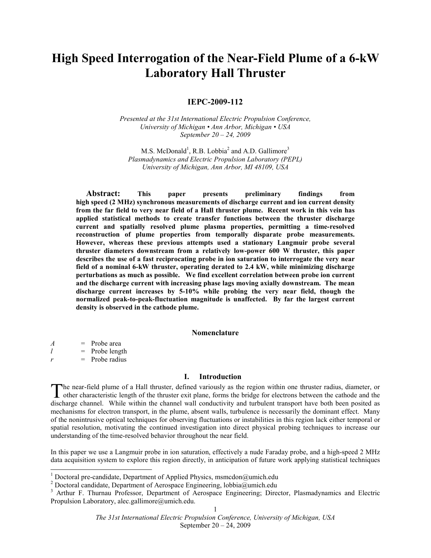# High Speed Interrogation of the Near-Field Plume of a 6-kW Laboratory Hall Thruster

# IEPC-2009-112

Presented at the 31st International Electric Propulsion Conference, University of Michigan • Ann Arbor, Michigan • USA September 20 – 24, 2009

M.S. McDonald<sup>1</sup>, R.B. Lobbia<sup>2</sup> and A.D. Gallimore<sup>3</sup> Plasmadynamics and Electric Propulsion Laboratory (PEPL) University of Michigan, Ann Arbor, MI 48109, USA

Abstract: This paper presents preliminary findings from high speed (2 MHz) synchronous measurements of discharge current and ion current density from the far field to very near field of a Hall thruster plume. Recent work in this vein has applied statistical methods to create transfer functions between the thruster discharge current and spatially resolved plume plasma properties, permitting a time-resolved reconstruction of plume properties from temporally disparate probe measurements. However, whereas these previous attempts used a stationary Langmuir probe several thruster diameters downstream from a relatively low-power 600 W thruster, this paper describes the use of a fast reciprocating probe in ion saturation to interrogate the very near field of a nominal 6-kW thruster, operating derated to 2.4 kW, while minimizing discharge perturbations as much as possible. We find excellent correlation between probe ion current and the discharge current with increasing phase lags moving axially downstream. The mean discharge current increases by 5-10% while probing the very near field, though the normalized peak-to-peak-fluctuation magnitude is unaffected. By far the largest current density is observed in the cathode plume.

#### Nomenclature

 $A =$ Probe area  $l$  = Probe length  $r =$ Probe radius

## I. Introduction

The near-field plume of a Hall thruster, defined variously as the region within one thruster radius, diameter, or other characteristic length of the thruster exit plane, forms the bridge for electrons between the cathode and the The near-field plume of a Hall thruster, defined variously as the region within one thruster radius, diameter, or other characteristic length of the thruster exit plane, forms the bridge for electrons between the cathode a mechanisms for electron transport, in the plume, absent walls, turbulence is necessarily the dominant effect. Many of the nonintrusive optical techniques for observing fluctuations or instabilities in this region lack either temporal or spatial resolution, motivating the continued investigation into direct physical probing techniques to increase our understanding of the time-resolved behavior throughout the near field.

In this paper we use a Langmuir probe in ion saturation, effectively a nude Faraday probe, and a high-speed 2 MHz data acquisition system to explore this region directly, in anticipation of future work applying statistical techniques

<sup>1&</sup>lt;br>
<sup>1</sup> Doctoral pre-candidate, Department of Applied Physics, msmcdon@umich.edu

<sup>&</sup>lt;sup>2</sup> Doctoral candidate, Department of Aerospace Engineering, lobbia@umich.edu

<sup>&</sup>lt;sup>3</sup> Arthur F. Thurnau Professor, Department of Aerospace Engineering; Director, Plasmadynamics and Electric Propulsion Laboratory, alec.gallimore@umich.edu.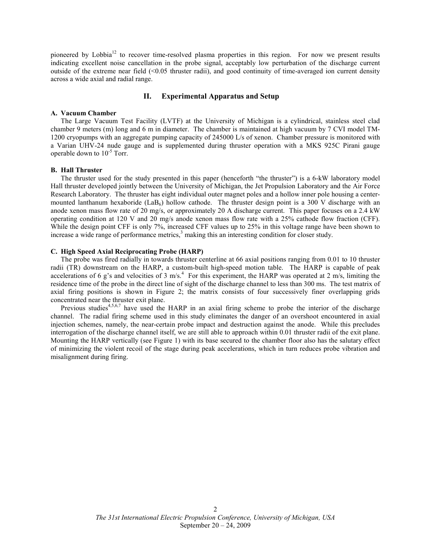pioneered by Lobbia<sup>12</sup> to recover time-resolved plasma properties in this region. For now we present results indicating excellent noise cancellation in the probe signal, acceptably low perturbation of the discharge current outside of the extreme near field (<0.05 thruster radii), and good continuity of time-averaged ion current density across a wide axial and radial range.

# II. Experimental Apparatus and Setup

#### A. Vacuum Chamber

The Large Vacuum Test Facility (LVTF) at the University of Michigan is a cylindrical, stainless steel clad chamber 9 meters (m) long and 6 m in diameter. The chamber is maintained at high vacuum by 7 CVI model TM-1200 cryopumps with an aggregate pumping capacity of 245000 L/s of xenon. Chamber pressure is monitored with a Varian UHV-24 nude gauge and is supplemented during thruster operation with a MKS 925C Pirani gauge operable down to  $10^{-5}$  Torr.

## B. Hall Thruster

The thruster used for the study presented in this paper (henceforth "the thruster") is a 6-kW laboratory model Hall thruster developed jointly between the University of Michigan, the Jet Propulsion Laboratory and the Air Force Research Laboratory. The thruster has eight individual outer magnet poles and a hollow inner pole housing a centermounted lanthanum hexaboride (LaB<sub>6</sub>) hollow cathode. The thruster design point is a 300 V discharge with an anode xenon mass flow rate of 20 mg/s, or approximately 20 A discharge current. This paper focuses on a 2.4 kW operating condition at 120 V and 20 mg/s anode xenon mass flow rate with a 25% cathode flow fraction (CFF). While the design point CFF is only 7%, increased CFF values up to 25% in this voltage range have been shown to increase a wide range of performance metrics,<sup>3</sup> making this an interesting condition for closer study.

# C. High Speed Axial Reciprocating Probe (HARP)

The probe was fired radially in towards thruster centerline at 66 axial positions ranging from 0.01 to 10 thruster radii (TR) downstream on the HARP, a custom-built high-speed motion table. The HARP is capable of peak accelerations of 6 g's and velocities of 3 m/s.<sup>4</sup> For this experiment, the HARP was operated at 2 m/s, limiting the residence time of the probe in the direct line of sight of the discharge channel to less than 300 ms. The test matrix of axial firing positions is shown in Figure 2; the matrix consists of four successively finer overlapping grids concentrated near the thruster exit plane.

Previous studies<sup>4,5,6,7</sup> have used the HARP in an axial firing scheme to probe the interior of the discharge channel. The radial firing scheme used in this study eliminates the danger of an overshoot encountered in axial injection schemes, namely, the near-certain probe impact and destruction against the anode. While this precludes interrogation of the discharge channel itself, we are still able to approach within 0.01 thruster radii of the exit plane. Mounting the HARP vertically (see Figure 1) with its base secured to the chamber floor also has the salutary effect of minimizing the violent recoil of the stage during peak accelerations, which in turn reduces probe vibration and misalignment during firing.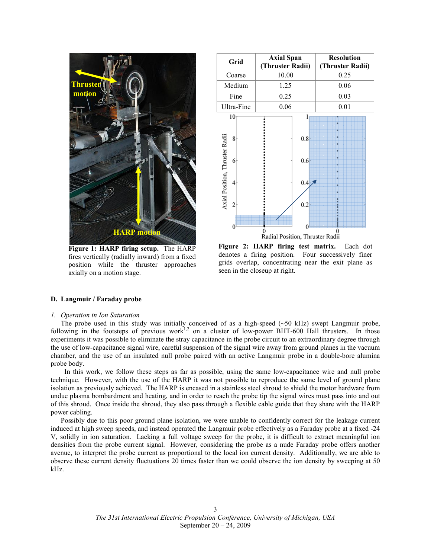

Figure 1: HARP firing setup. The HARP fires vertically (radially inward) from a fixed position while the thruster approaches axially on a motion stage.



Figure 2: HARP firing test matrix. Each dot denotes a firing position. Four successively finer grids overlap, concentrating near the exit plane as seen in the closeup at right.

#### D. Langmuir / Faraday probe

#### 1. Operation in Ion Saturation

The probe used in this study was initially conceived of as a high-speed  $(\sim 50 \text{ kHz})$  swept Langmuir probe, following in the footsteps of previous work<sup>1,2</sup> on a cluster of low-power BHT-600 Hall thrusters. In those experiments it was possible to eliminate the stray capacitance in the probe circuit to an extraordinary degree through the use of low-capacitance signal wire, careful suspension of the signal wire away from ground planes in the vacuum chamber, and the use of an insulated null probe paired with an active Langmuir probe in a double-bore alumina probe body.

 In this work, we follow these steps as far as possible, using the same low-capacitance wire and null probe technique. However, with the use of the HARP it was not possible to reproduce the same level of ground plane isolation as previously achieved. The HARP is encased in a stainless steel shroud to shield the motor hardware from undue plasma bombardment and heating, and in order to reach the probe tip the signal wires must pass into and out of this shroud. Once inside the shroud, they also pass through a flexible cable guide that they share with the HARP power cabling.

Possibly due to this poor ground plane isolation, we were unable to confidently correct for the leakage current induced at high sweep speeds, and instead operated the Langmuir probe effectively as a Faraday probe at a fixed -24 V, solidly in ion saturation. Lacking a full voltage sweep for the probe, it is difficult to extract meaningful ion densities from the probe current signal. However, considering the probe as a nude Faraday probe offers another avenue, to interpret the probe current as proportional to the local ion current density. Additionally, we are able to observe these current density fluctuations 20 times faster than we could observe the ion density by sweeping at 50 kHz.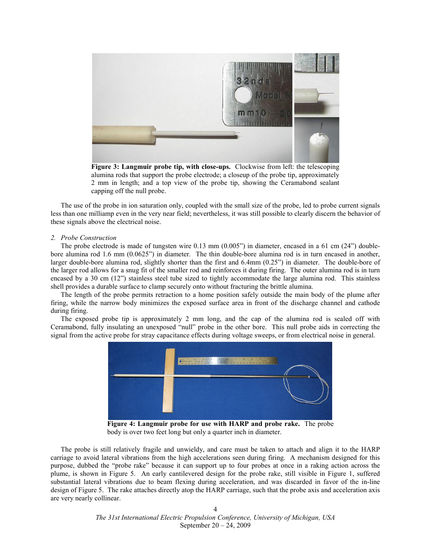

Figure 3: Langmuir probe tip, with close-ups. Clockwise from left: the telescoping alumina rods that support the probe electrode; a closeup of the probe tip, approximately 2 mm in length; and a top view of the probe tip, showing the Ceramabond sealant capping off the null probe.

The use of the probe in ion saturation only, coupled with the small size of the probe, led to probe current signals less than one milliamp even in the very near field; nevertheless, it was still possible to clearly discern the behavior of these signals above the electrical noise.

#### 2. Probe Construction

The probe electrode is made of tungsten wire 0.13 mm (0.005") in diameter, encased in a 61 cm (24") doublebore alumina rod 1.6 mm (0.0625") in diameter. The thin double-bore alumina rod is in turn encased in another, larger double-bore alumina rod, slightly shorter than the first and 6.4mm (0.25") in diameter. The double-bore of the larger rod allows for a snug fit of the smaller rod and reinforces it during firing. The outer alumina rod is in turn encased by a 30 cm (12") stainless steel tube sized to tightly accommodate the large alumina rod. This stainless shell provides a durable surface to clamp securely onto without fracturing the brittle alumina.

The length of the probe permits retraction to a home position safely outside the main body of the plume after firing, while the narrow body minimizes the exposed surface area in front of the discharge channel and cathode during firing.

The exposed probe tip is approximately 2 mm long, and the cap of the alumina rod is sealed off with Ceramabond, fully insulating an unexposed "null" probe in the other bore. This null probe aids in correcting the signal from the active probe for stray capacitance effects during voltage sweeps, or from electrical noise in general.



Figure 4: Langmuir probe for use with HARP and probe rake. The probe body is over two feet long but only a quarter inch in diameter.

The probe is still relatively fragile and unwieldy, and care must be taken to attach and align it to the HARP carriage to avoid lateral vibrations from the high accelerations seen during firing. A mechanism designed for this purpose, dubbed the "probe rake" because it can support up to four probes at once in a raking action across the plume, is shown in Figure 5. An early cantilevered design for the probe rake, still visible in Figure 1, suffered substantial lateral vibrations due to beam flexing during acceleration, and was discarded in favor of the in-line design of Figure 5. The rake attaches directly atop the HARP carriage, such that the probe axis and acceleration axis are very nearly collinear.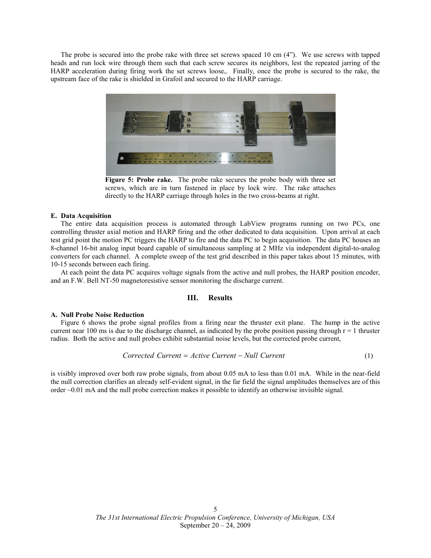The probe is secured into the probe rake with three set screws spaced 10 cm (4"). We use screws with tapped heads and run lock wire through them such that each screw secures its neighbors, lest the repeated jarring of the HARP acceleration during firing work the set screws loose,. Finally, once the probe is secured to the rake, the upstream face of the rake is shielded in Grafoil and secured to the HARP carriage.



Figure 5: Probe rake. The probe rake secures the probe body with three set screws, which are in turn fastened in place by lock wire. The rake attaches directly to the HARP carriage through holes in the two cross-beams at right.

#### E. Data Acquisition

The entire data acquisition process is automated through LabView programs running on two PCs, one controlling thruster axial motion and HARP firing and the other dedicated to data acquisition. Upon arrival at each test grid point the motion PC triggers the HARP to fire and the data PC to begin acquisition. The data PC houses an 8-channel 16-bit analog input board capable of simultaneous sampling at 2 MHz via independent digital-to-analog converters for each channel. A complete sweep of the test grid described in this paper takes about 15 minutes, with 10-15 seconds between each firing.

At each point the data PC acquires voltage signals from the active and null probes, the HARP position encoder, and an F.W. Bell NT-50 magnetoresistive sensor monitoring the discharge current.

## III. Results

#### A. Null Probe Noise Reduction

Figure 6 shows the probe signal profiles from a firing near the thruster exit plane. The hump in the active current near 100 ms is due to the discharge channel, as indicated by the probe position passing through  $r = 1$  thruster radius. Both the active and null probes exhibit substantial noise levels, but the corrected probe current,

$$
Corrected Current = Active Current - Null Current
$$
\n
$$
(1)
$$

is visibly improved over both raw probe signals, from about 0.05 mA to less than 0.01 mA. While in the near-field the null correction clarifies an already self-evident signal, in the far field the signal amplitudes themselves are of this order ~0.01 mA and the null probe correction makes it possible to identify an otherwise invisible signal.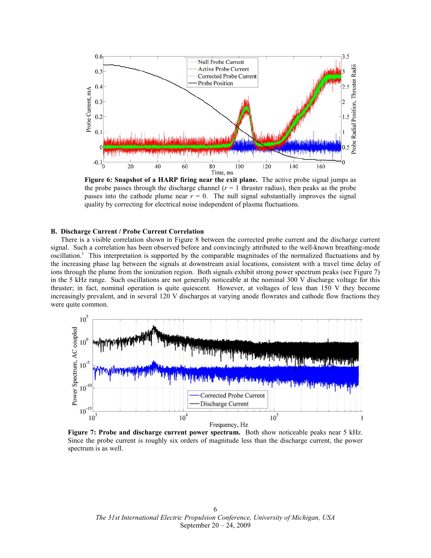

Figure 6: Snapshot of a HARP firing near the exit plane. The active probe signal jumps as the probe passes through the discharge channel ( $r = 1$  thruster radius), then peaks as the probe passes into the cathode plume near  $r = 0$ . The null signal substantially improves the signal quality by correcting for electrical noise independent of plasma fluctuations.

# B. Discharge Current / Probe Current Correlation

There is a visible correlation shown in Figure 8 between the corrected probe current and the discharge current signal. Such a correlation has been observed before and convincingly attributed to the well-known breathing-mode oscillation.<sup>1</sup> This interpretation is supported by the comparable magnitudes of the normalized fluctuations and by the increasing phase lag between the signals at downstream axial locations, consistent with a travel time delay of ions through the plume from the ionization region. Both signals exhibit strong power spectrum peaks (see Figure 7) in the 5 kHz range. Such oscillations are not generally noticeable at the nominal 300 V discharge voltage for this thruster; in fact, nominal operation is quite quiescent. However, at voltages of less than 150 V they become increasingly prevalent, and in several 120 V discharges at varying anode flowrates and cathode flow fractions they were quite common.



Figure 7: Probe and discharge current power spectrum. Both show noticeable peaks near 5 kHz. Since the probe current is roughly six orders of magnitude less than the discharge current, the power spectrum is as well.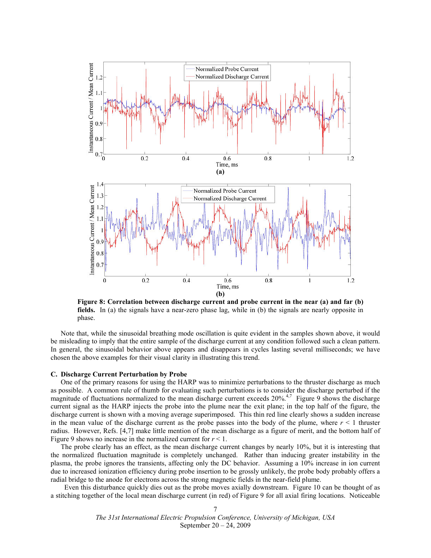

Figure 8: Correlation between discharge current and probe current in the near (a) and far (b) fields. In (a) the signals have a near-zero phase lag, while in (b) the signals are nearly opposite in phase.

Note that, while the sinusoidal breathing mode oscillation is quite evident in the samples shown above, it would be misleading to imply that the entire sample of the discharge current at any condition followed such a clean pattern. In general, the sinusoidal behavior above appears and disappears in cycles lasting several milliseconds; we have chosen the above examples for their visual clarity in illustrating this trend.

#### C. Discharge Current Perturbation by Probe

One of the primary reasons for using the HARP was to minimize perturbations to the thruster discharge as much as possible. A common rule of thumb for evaluating such perturbations is to consider the discharge perturbed if the magnitude of fluctuations normalized to the mean discharge current exceeds  $20\%$ .<sup>4,7</sup> Figure 9 shows the discharge current signal as the HARP injects the probe into the plume near the exit plane; in the top half of the figure, the discharge current is shown with a moving average superimposed. This thin red line clearly shows a sudden increase in the mean value of the discharge current as the probe passes into the body of the plume, where  $r < 1$  thruster radius. However, Refs. [4,7] make little mention of the mean discharge as a figure of merit, and the bottom half of Figure 9 shows no increase in the normalized current for  $r < 1$ .

The probe clearly has an effect, as the mean discharge current changes by nearly 10%, but it is interesting that the normalized fluctuation magnitude is completely unchanged. Rather than inducing greater instability in the plasma, the probe ignores the transients, affecting only the DC behavior. Assuming a 10% increase in ion current due to increased ionization efficiency during probe insertion to be grossly unlikely, the probe body probably offers a radial bridge to the anode for electrons across the strong magnetic fields in the near-field plume.

 Even this disturbance quickly dies out as the probe moves axially downstream. Figure 10 can be thought of as a stitching together of the local mean discharge current (in red) of Figure 9 for all axial firing locations. Noticeable

> The 31st International Electric Propulsion Conference, University of Michigan, USA September 20 – 24, 2009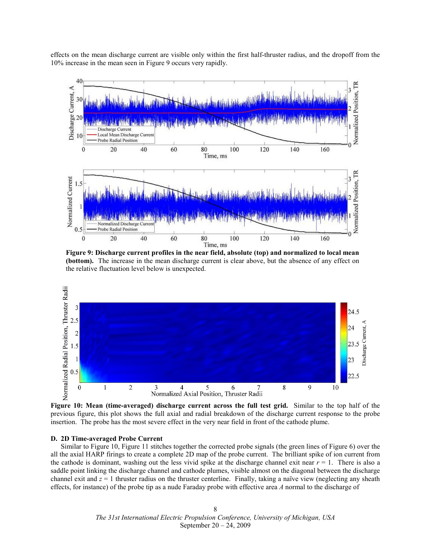effects on the mean discharge current are visible only within the first half-thruster radius, and the dropoff from the 10% increase in the mean seen in Figure 9 occurs very rapidly.



Figure 9: Discharge current profiles in the near field, absolute (top) and normalized to local mean (bottom). The increase in the mean discharge current is clear above, but the absence of any effect on the relative fluctuation level below is unexpected.



Figure 10: Mean (time-averaged) discharge current across the full test grid. Similar to the top half of the previous figure, this plot shows the full axial and radial breakdown of the discharge current response to the probe insertion. The probe has the most severe effect in the very near field in front of the cathode plume.

#### D. 2D Time-averaged Probe Current

Similar to Figure 10, Figure 11 stitches together the corrected probe signals (the green lines of Figure 6) over the all the axial HARP firings to create a complete 2D map of the probe current. The brilliant spike of ion current from the cathode is dominant, washing out the less vivid spike at the discharge channel exit near  $r = 1$ . There is also a saddle point linking the discharge channel and cathode plumes, visible almost on the diagonal between the discharge channel exit and  $z = 1$  thruster radius on the thruster centerline. Finally, taking a naïve view (neglecting any sheath effects, for instance) of the probe tip as a nude Faraday probe with effective area A normal to the discharge of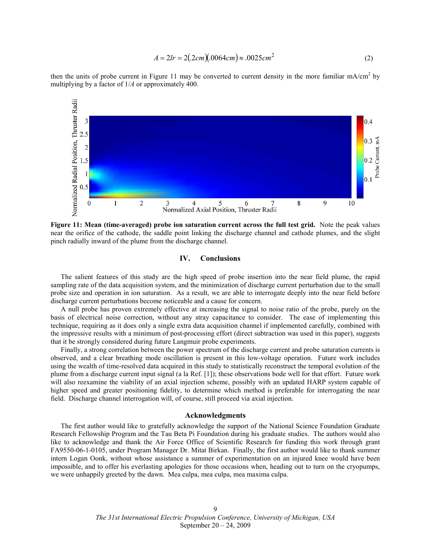$$
A = 2lr = 2(.2cm)(.0064cm) \approx .0025cm^{2}
$$
 (2)

then the units of probe current in Figure 11 may be converted to current density in the more familiar  $mA/cm<sup>2</sup>$  by multiplying by a factor of 1/A or approximately 400.



Figure 11: Mean (time-averaged) probe ion saturation current across the full test grid. Note the peak values near the orifice of the cathode, the saddle point linking the discharge channel and cathode plumes, and the slight pinch radially inward of the plume from the discharge channel.

## IV. Conclusions

The salient features of this study are the high speed of probe insertion into the near field plume, the rapid sampling rate of the data acquisition system, and the minimization of discharge current perturbation due to the small probe size and operation in ion saturation. As a result, we are able to interrogate deeply into the near field before discharge current perturbations become noticeable and a cause for concern.

A null probe has proven extremely effective at increasing the signal to noise ratio of the probe, purely on the basis of electrical noise correction, without any stray capacitance to consider. The ease of implementing this technique, requiring as it does only a single extra data acquisition channel if implemented carefully, combined with the impressive results with a minimum of post-processing effort (direct subtraction was used in this paper), suggests that it be strongly considered during future Langmuir probe experiments.

Finally, a strong correlation between the power spectrum of the discharge current and probe saturation currents is observed, and a clear breathing mode oscillation is present in this low-voltage operation. Future work includes using the wealth of time-resolved data acquired in this study to statistically reconstruct the temporal evolution of the plume from a discharge current input signal (a la Ref. [1]); these observations bode well for that effort. Future work will also reexamine the viability of an axial injection scheme, possibly with an updated HARP system capable of higher speed and greater positioning fidelity, to determine which method is preferable for interrogating the near field. Discharge channel interrogation will, of course, still proceed via axial injection.

### Acknowledgments

The first author would like to gratefully acknowledge the support of the National Science Foundation Graduate Research Fellowship Program and the Tau Beta Pi Foundation during his graduate studies. The authors would also like to acknowledge and thank the Air Force Office of Scientific Research for funding this work through grant FA9550-06-1-0105, under Program Manager Dr. Mitat Birkan. Finally, the first author would like to thank summer intern Logan Oonk, without whose assistance a summer of experimentation on an injured knee would have been impossible, and to offer his everlasting apologies for those occasions when, heading out to turn on the cryopumps, we were unhappily greeted by the dawn. Mea culpa, mea culpa, mea maxima culpa.